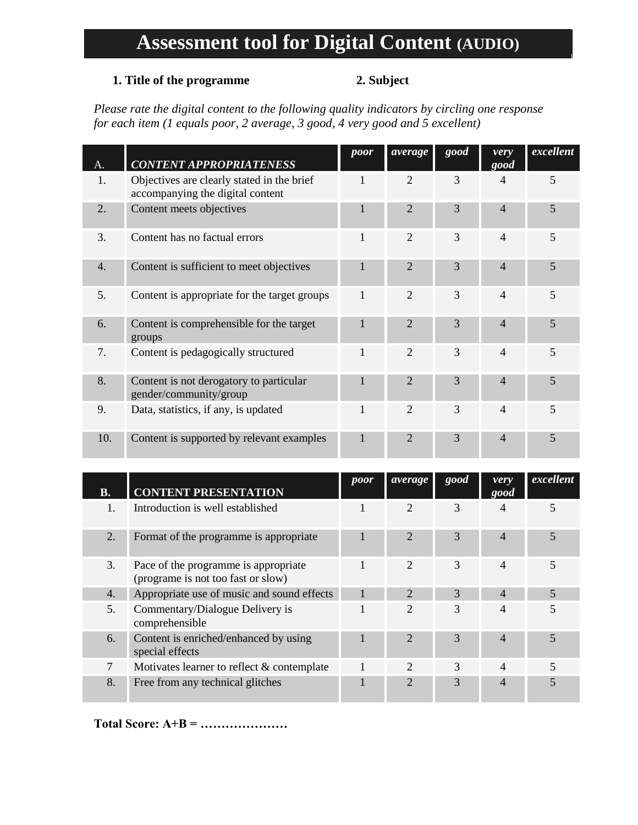# **Assessment tool for Digital Content (AUDIO)**

### **1. Title of the programme 2. Subject**

*Please rate the digital content to the following quality indicators by circling one response for each item (1 equals poor, 2 average, 3 good, 4 very good and 5 excellent)*

| А.               | <b>CONTENT APPROPRIATENESS</b>                                                 | poor | average        | good | very<br>good   | excellent |
|------------------|--------------------------------------------------------------------------------|------|----------------|------|----------------|-----------|
| 1.               | Objectives are clearly stated in the brief<br>accompanying the digital content |      | $\overline{2}$ | 3    | 4              | 5         |
| 2.               | Content meets objectives                                                       | 1    | $\overline{2}$ | 3    | $\overline{4}$ | 5         |
| 3.               | Content has no factual errors                                                  | 1    | $\overline{2}$ | 3    | $\overline{4}$ | 5         |
| $\overline{4}$ . | Content is sufficient to meet objectives                                       | 1    | $\overline{2}$ | 3    | $\overline{4}$ | 5         |
| 5.               | Content is appropriate for the target groups                                   | 1    | $\overline{2}$ | 3    | $\overline{4}$ | 5         |
| 6.               | Content is comprehensible for the target<br>groups                             | 1    | $\mathfrak{D}$ | 3    | 4              | 5         |
| 7.               | Content is pedagogically structured                                            | 1    | $\overline{2}$ | 3    | $\overline{4}$ | 5         |
| 8.               | Content is not derogatory to particular<br>gender/community/group              | 1    | $\overline{2}$ | 3    | $\overline{4}$ | 5         |
| 9.               | Data, statistics, if any, is updated                                           | 1    | $\mathfrak{D}$ | 3    | $\overline{4}$ | 5         |
| 10.              | Content is supported by relevant examples                                      | 1    | $\overline{2}$ | 3    | $\overline{4}$ | 5         |

| В. | <b>CONTENT PRESENTATION</b>                                                | poor | average                     | good          | verv<br>good             | excellent      |
|----|----------------------------------------------------------------------------|------|-----------------------------|---------------|--------------------------|----------------|
|    | Introduction is well established                                           |      |                             | 3             |                          | 5              |
| 2. | Format of the programme is appropriate                                     |      | $\mathcal{D}_{\cdot}$       | 3             | 4                        | 5              |
| 3. | Pace of the programme is appropriate<br>(programe is not too fast or slow) |      | $\mathcal{D}_{\mathcal{L}}$ | 3             | 4                        | 5              |
| 4. | Appropriate use of music and sound effects                                 |      | $\mathcal{D}_{\cdot}$       | $\mathcal{R}$ | $\overline{4}$           | $\overline{5}$ |
| 5. | Commentary/Dialogue Delivery is<br>comprehensible                          |      | $\mathfrak{D}$              | 3             | 4                        | 5              |
| 6. | Content is enriched/enhanced by using<br>special effects                   |      | $\mathfrak{D}$              | 3             | $\overline{\mathcal{A}}$ | $\overline{5}$ |
| 7  | Motivates learner to reflect $\&$ contemplate                              |      | $\mathcal{D}_{\mathcal{A}}$ | $\mathcal{F}$ | 4                        | 5              |
| 8. | Free from any technical glitches                                           |      |                             | 3             |                          |                |

**Total Score: A+B = …………………**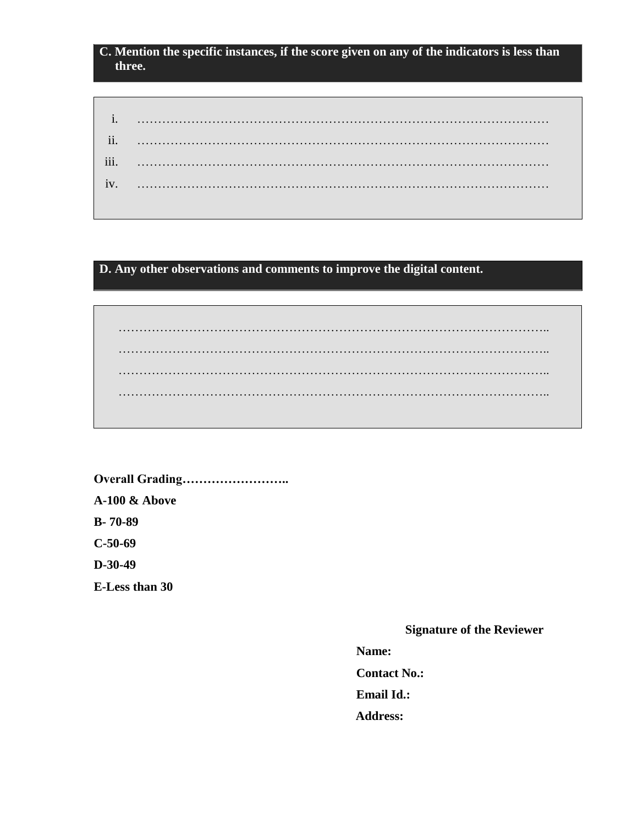## **C. Mention the specific instances, if the score given on any of the indicators is less than three.**

**D. Any other observations and comments to improve the digital content.**

………………………………………………………………………………………….. ………………………………………………………………………………………….. ………………………………………………………………………………………….. …………………………………………………………………………………………..

**Overall Grading…………………….. A-100 & Above B- 70-89 C-50-69 D-30-49 E-Less than 30**

**Signature of the Reviewer**

**Name:**

**Contact No.:**

**Email Id.:**

 **Address:**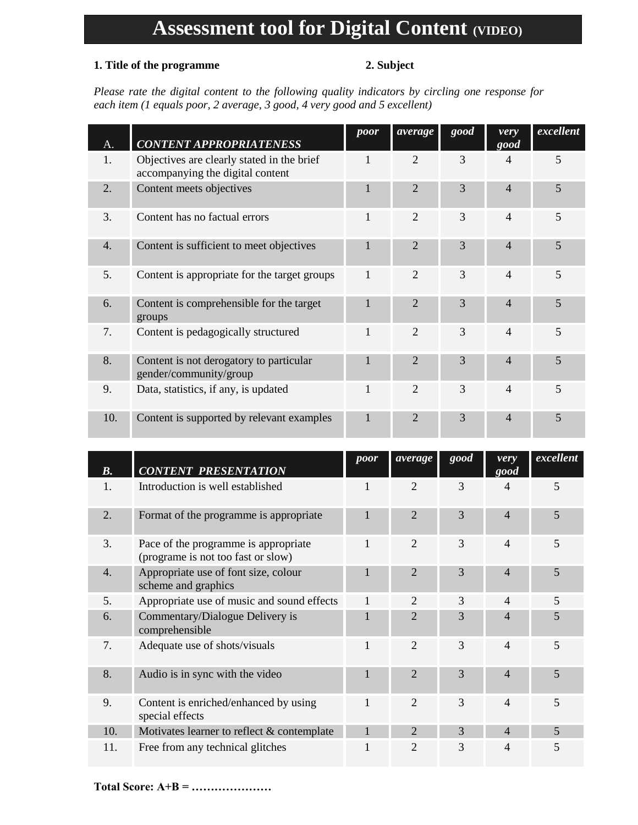# **Assessment tool for Digital Content (VIDEO)**

## **1. Title of the programme 2. Subject**

*Please rate the digital content to the following quality indicators by circling one response for each item (1 equals poor, 2 average, 3 good, 4 very good and 5 excellent)*

| А.               | <b>CONTENT APPROPRIATENESS</b>                                                 | poor         | average                     | good | very<br>good             | excellent |
|------------------|--------------------------------------------------------------------------------|--------------|-----------------------------|------|--------------------------|-----------|
| 1.               | Objectives are clearly stated in the brief<br>accompanying the digital content |              | $\overline{2}$              | 3    | $\overline{4}$           | 5         |
| 2.               | Content meets objectives                                                       | $\mathbf{1}$ | $\overline{2}$              | 3    | $\overline{4}$           | 5         |
| 3.               | Content has no factual errors                                                  | 1            | $\mathcal{D}_{\mathcal{L}}$ | 3    | $\overline{4}$           | 5         |
| $\overline{4}$ . | Content is sufficient to meet objectives                                       | 1            | $\mathcal{D}_{\cdot}$       | 3    | $\overline{4}$           | 5         |
| 5.               | Content is appropriate for the target groups                                   | 1            | 2                           | 3    | $\overline{4}$           | 5         |
| 6.               | Content is comprehensible for the target<br>groups                             | $\mathbf{1}$ | $\overline{2}$              | 3    | $\overline{\mathcal{A}}$ | 5         |
| 7.               | Content is pedagogically structured                                            | 1            | $\overline{2}$              | 3    | $\overline{4}$           | 5         |
| 8.               | Content is not derogatory to particular<br>gender/community/group              |              | $\overline{2}$              | 3    | $\overline{4}$           | 5         |
| 9.               | Data, statistics, if any, is updated                                           | 1            | $\overline{2}$              | 3    | $\overline{4}$           | 5         |
| 10.              | Content is supported by relevant examples                                      |              | $\overline{2}$              | 3    | $\overline{4}$           | 5         |

| $\boldsymbol{B}$ . | <b>CONTENT PRESENTATION</b>                                                | poor | average                     | good | very<br>good             | excellent      |
|--------------------|----------------------------------------------------------------------------|------|-----------------------------|------|--------------------------|----------------|
| 1.                 | Introduction is well established                                           |      | $\overline{2}$              | 3    | 4                        | 5              |
| 2.                 | Format of the programme is appropriate                                     |      | $\overline{2}$              | 3    | $\overline{4}$           | 5              |
| 3.                 | Pace of the programme is appropriate<br>(programe is not too fast or slow) | 1    | $\overline{2}$              | 3    | 4                        | 5              |
| 4.                 | Appropriate use of font size, colour<br>scheme and graphics                | 1    | $\overline{2}$              | 3    | 4                        | 5              |
| 5.                 | Appropriate use of music and sound effects                                 | 1    | $\mathcal{D}_{\mathcal{L}}$ | 3    | 4                        | 5              |
| 6.                 | Commentary/Dialogue Delivery is<br>comprehensible                          |      | $\mathfrak{D}$              | 3    | $\overline{\mathcal{A}}$ | 5              |
| 7.                 | Adequate use of shots/visuals                                              | 1    | $\overline{c}$              | 3    | 4                        | 5              |
| 8.                 | Audio is in sync with the video                                            |      | $\overline{2}$              | 3    | 4                        | 5              |
| 9.                 | Content is enriched/enhanced by using<br>special effects                   |      | $\overline{2}$              | 3    | 4                        | 5              |
| 10.                | Motivates learner to reflect & contemplate                                 |      | $\overline{2}$              | 3    | $\overline{4}$           | $\overline{5}$ |
| 11.                | Free from any technical glitches                                           |      | $\overline{c}$              | 3    | 4                        | 5              |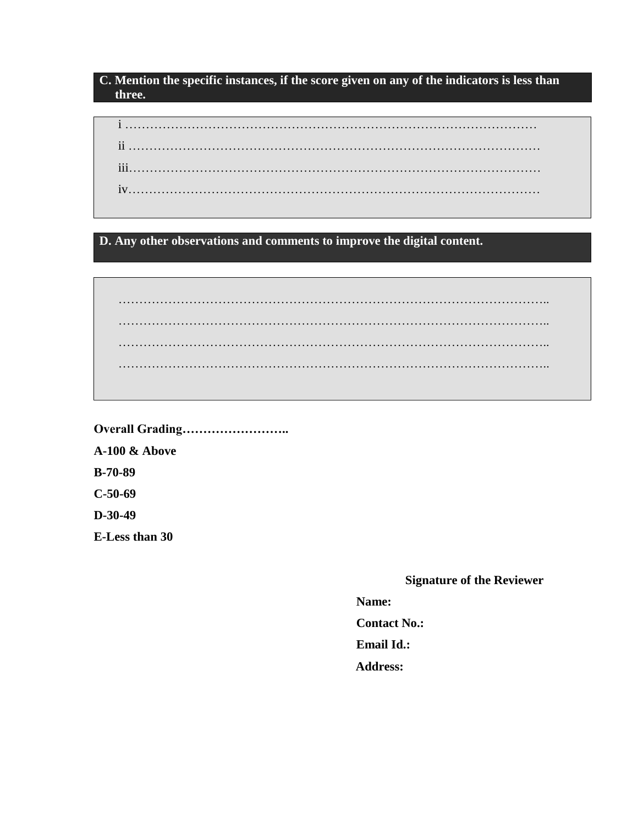### **C. Mention the specific instances, if the score given on any of the indicators is less than three.**

**D. Any other observations and comments to improve the digital content.**

………………………………………………………………………………………….. ………………………………………………………………………………………….. ………………………………………………………………………………………….. …………………………………………………………………………………………..

**Overall Grading…………………….. A-100 & Above B-70-89 C-50-69 D-30-49 E-Less than 30**

### **Signature of the Reviewer**

**Name:**

**Contact No.:**

**Email Id.:**

 **Address:**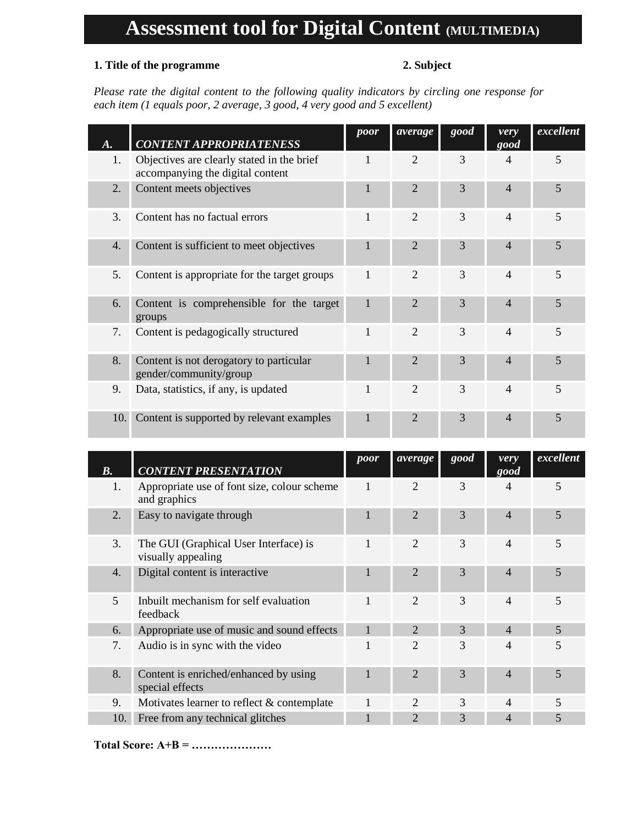# **Assessment tool for Digital Content (MULTIMEDIA)**

## **1. Title of the programme 2. Subject**

*Please rate the digital content to the following quality indicators by circling one response for each item (1 equals poor, 2 average, 3 good, 4 very good and 5 excellent)*

|     | <b>CONTENT APPROPRIATENESS</b>                                                 | poor | average                     | good | very<br>$\overline{good}$ | excellent |
|-----|--------------------------------------------------------------------------------|------|-----------------------------|------|---------------------------|-----------|
| 1.  | Objectives are clearly stated in the brief<br>accompanying the digital content |      | $\overline{2}$              | 3    | 4                         | 5         |
| 2.  | Content meets objectives                                                       | 1    | $\overline{2}$              | 3    | 4                         | 5         |
| 3.  | Content has no factual errors                                                  | 1    | $\mathcal{D}_{\mathcal{L}}$ | 3    | $\overline{4}$            | 5         |
| 4.  | Content is sufficient to meet objectives                                       | 1    | $\mathfrak{D}$              | 3    | 4                         | 5         |
| 5.  | Content is appropriate for the target groups                                   | 1    | $\overline{2}$              | 3    | $\overline{4}$            | 5         |
| 6.  | Content is comprehensible for the target<br>groups                             | 1    | $\overline{2}$              | 3    | 4                         | 5         |
| 7.  | Content is pedagogically structured                                            | 1    | $\overline{2}$              | 3    | $\overline{4}$            | 5         |
| 8.  | Content is not derogatory to particular<br>gender/community/group              | 1    | $\overline{2}$              | 3    | $\overline{4}$            | 5         |
| 9.  | Data, statistics, if any, is updated                                           | 1    | 2                           | 3    | $\overline{4}$            | 5         |
| 10. | Content is supported by relevant examples                                      |      | $\mathfrak{D}$              | 3    | 4                         | 5         |

| B.               | <b>CONTENT PRESENTATION</b>                                 | poor | average                     | good | very<br>$\overline{good}$ | excellent |
|------------------|-------------------------------------------------------------|------|-----------------------------|------|---------------------------|-----------|
| 1.               | Appropriate use of font size, colour scheme<br>and graphics |      | $\overline{2}$              | 3    | 4                         | 5         |
| 2.               | Easy to navigate through                                    |      | $\overline{2}$              | 3    | $\overline{\mathcal{A}}$  | 5         |
| 3.               | The GUI (Graphical User Interface) is<br>visually appealing |      | $\mathfrak{D}$              | 3    | 4                         | 5         |
| $\overline{4}$ . | Digital content is interactive                              |      | $\mathcal{D}_{\cdot}$       | 3    | $\overline{\mathcal{A}}$  | 5         |
| 5                | Inbuilt mechanism for self evaluation<br>feedback           |      | $\mathcal{D}_{\mathcal{L}}$ | 3    | $\overline{\mathcal{A}}$  | 5         |
| 6.               | Appropriate use of music and sound effects                  |      | $\mathcal{D}_{\cdot}$       | 3    | $\overline{4}$            | 5         |
| 7.               | Audio is in sync with the video                             |      | $\overline{2}$              | 3    | 4                         | 5         |
| 8.               | Content is enriched/enhanced by using<br>special effects    |      | $\mathcal{D}_{\cdot}$       | 3    | $\overline{\mathcal{A}}$  | 5         |
| 9.               | Motivates learner to reflect & contemplate                  |      | $\mathcal{D}_{\mathcal{A}}$ | 3    | 4                         | 5         |
| 10.              | Free from any technical glitches                            |      | $\mathcal{D}_{\cdot}$       | 3    | 4                         | 5         |

**Total Score: A+B = …………………**